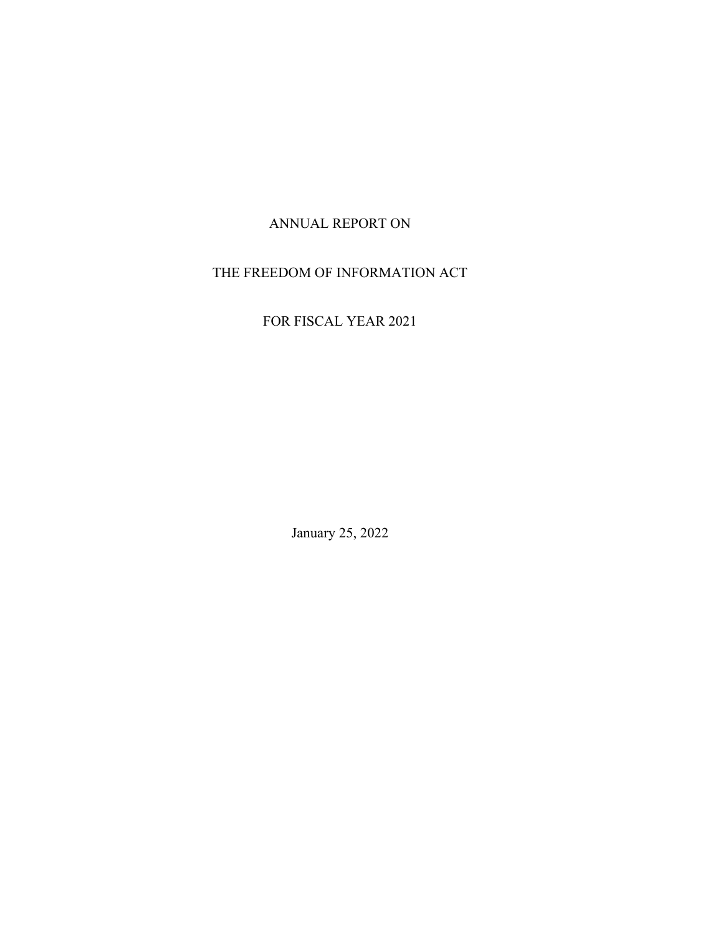## ANNUAL REPORT ON

## THE FREEDOM OF INFORMATION ACT

# FOR FISCAL YEAR 2021

January 25, 2022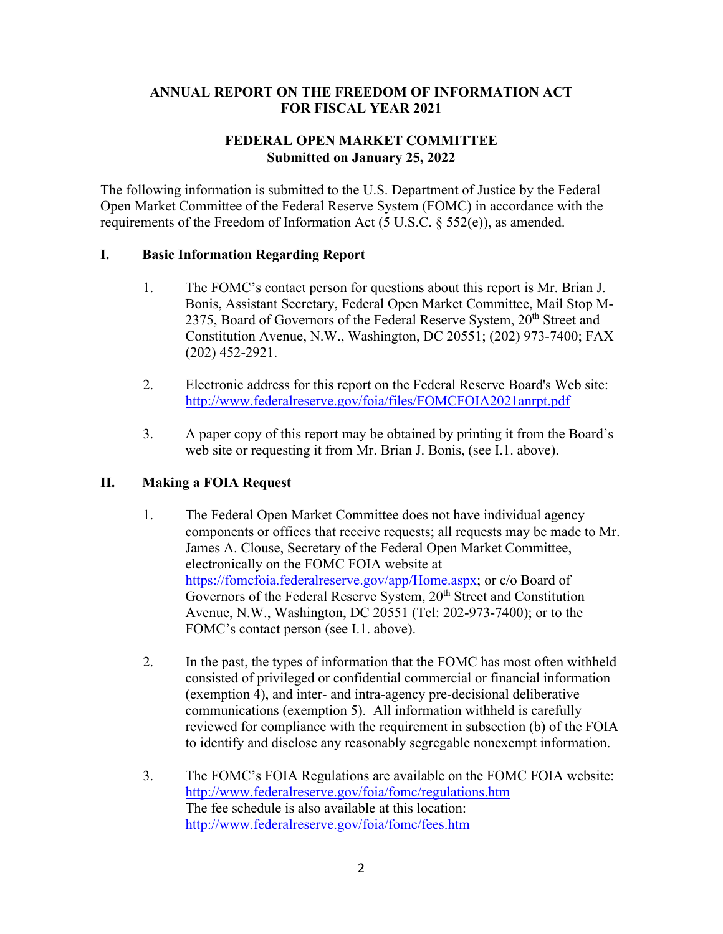## **ANNUAL REPORT ON THE FREEDOM OF INFORMATION ACT FOR FISCAL YEAR 2021**

### **FEDERAL OPEN MARKET COMMITTEE Submitted on January 25, 2022**

The following information is submitted to the U.S. Department of Justice by the Federal Open Market Committee of the Federal Reserve System (FOMC) in accordance with the requirements of the Freedom of Information Act (5 U.S.C. § 552(e)), as amended.

### **I. Basic Information Regarding Report**

- 1. The FOMC's contact person for questions about this report is Mr. Brian J. Bonis, Assistant Secretary, Federal Open Market Committee, Mail Stop M-2375, Board of Governors of the Federal Reserve System, 20<sup>th</sup> Street and Constitution Avenue, N.W., Washington, DC 20551; (202) 973-7400; FAX (202) 452-2921.
- 2. Electronic address for this report on the Federal Reserve Board's Web site: <http://www.federalreserve.gov/foia/files/FOMCFOIA2021anrpt.pdf>
- 3. A paper copy of this report may be obtained by printing it from the Board's web site or requesting it from Mr. Brian J. Bonis, (see I.1. above).

## **II. Making a FOIA Request**

- 1. The Federal Open Market Committee does not have individual agency components or offices that receive requests; all requests may be made to Mr. James A. Clouse, Secretary of the Federal Open Market Committee, electronically on the FOMC FOIA website at [https://fomcfoia.federalreserve.gov/app/Home.aspx;](https://fomcfoia.federalreserve.gov/app/Home.aspx) or c/o Board of Governors of the Federal Reserve System, 20<sup>th</sup> Street and Constitution Avenue, N.W., Washington, DC 20551 (Tel: 202-973-7400); or to the FOMC's contact person (see I.1. above).
- 2. In the past, the types of information that the FOMC has most often withheld consisted of privileged or confidential commercial or financial information (exemption 4), and inter- and intra-agency pre-decisional deliberative communications (exemption 5). All information withheld is carefully reviewed for compliance with the requirement in subsection (b) of the FOIA to identify and disclose any reasonably segregable nonexempt information.
- 3. The FOMC's FOIA Regulations are available on the FOMC FOIA website: <http://www.federalreserve.gov/foia/fomc/regulations.htm> The fee schedule is also available at this location: <http://www.federalreserve.gov/foia/fomc/fees.htm>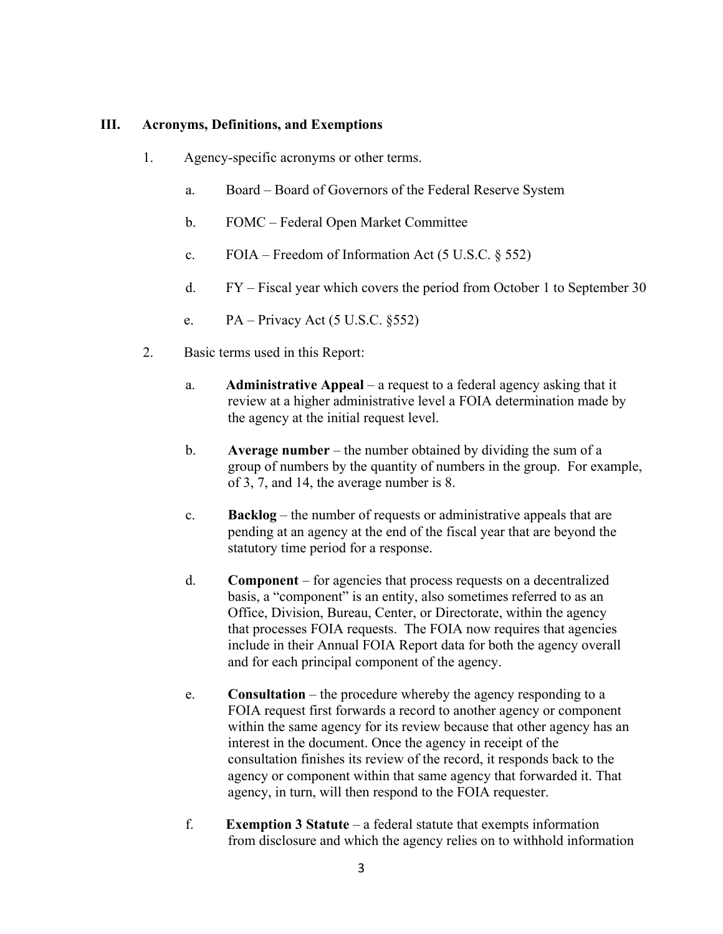#### **III. Acronyms, Definitions, and Exemptions**

- 1. Agency-specific acronyms or other terms.
	- a. Board Board of Governors of the Federal Reserve System
	- b. FOMC Federal Open Market Committee
	- c.  $FOIA Freedom of Information Act (5 U.S.C. § 552)$
	- d. FY Fiscal year which covers the period from October 1 to September 30
	- e.  $PA Privacy$  Act (5 U.S.C. §552)
- 2. Basic terms used in this Report:
	- a. **Administrative Appeal** a request to a federal agency asking that it review at a higher administrative level a FOIA determination made by the agency at the initial request level.
	- b. **Average number** the number obtained by dividing the sum of a group of numbers by the quantity of numbers in the group. For example, of 3, 7, and 14, the average number is 8.
	- c. **Backlog** the number of requests or administrative appeals that are pending at an agency at the end of the fiscal year that are beyond the statutory time period for a response.
	- d. **Component** for agencies that process requests on a decentralized basis, a "component" is an entity, also sometimes referred to as an Office, Division, Bureau, Center, or Directorate, within the agency that processes FOIA requests. The FOIA now requires that agencies include in their Annual FOIA Report data for both the agency overall and for each principal component of the agency.
	- e. **Consultation**  the procedure whereby the agency responding to a FOIA request first forwards a record to another agency or component within the same agency for its review because that other agency has an interest in the document. Once the agency in receipt of the consultation finishes its review of the record, it responds back to the agency or component within that same agency that forwarded it. That agency, in turn, will then respond to the FOIA requester.
	- f. **Exemption 3 Statute** a federal statute that exempts information from disclosure and which the agency relies on to withhold information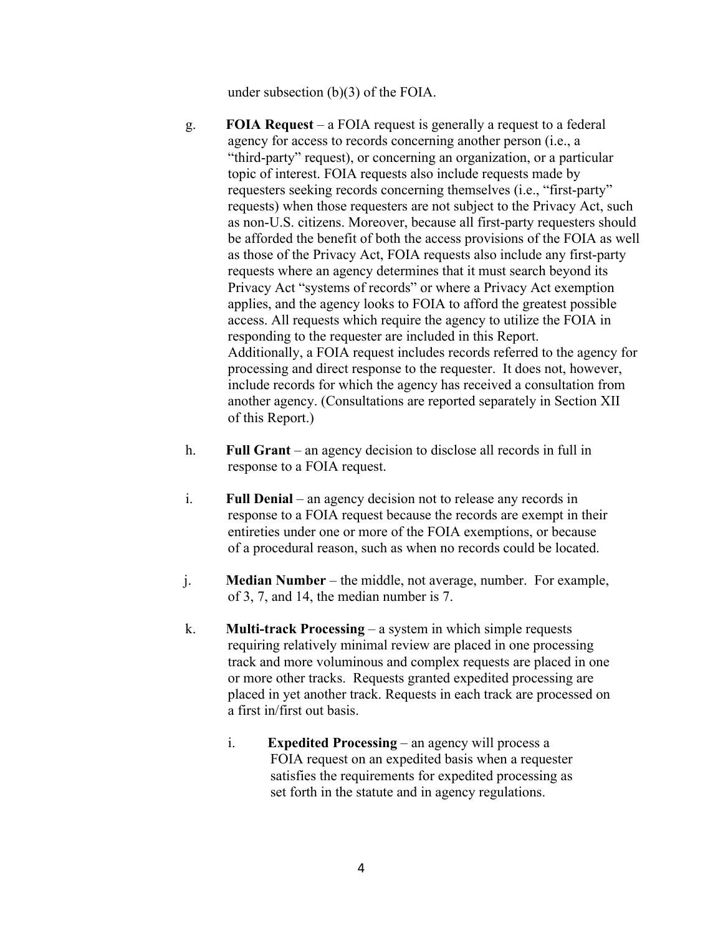under subsection (b)(3) of the FOIA.

- g. **FOIA Request** a FOIA request is generally a request to a federal agency for access to records concerning another person (i.e., a "third-party" request), or concerning an organization, or a particular topic of interest. FOIA requests also include requests made by requesters seeking records concerning themselves (i.e., "first-party" requests) when those requesters are not subject to the Privacy Act, such as non-U.S. citizens. Moreover, because all first-party requesters should be afforded the benefit of both the access provisions of the FOIA as well as those of the Privacy Act, FOIA requests also include any first-party requests where an agency determines that it must search beyond its Privacy Act "systems of records" or where a Privacy Act exemption applies, and the agency looks to FOIA to afford the greatest possible access. All requests which require the agency to utilize the FOIA in responding to the requester are included in this Report. Additionally, a FOIA request includes records referred to the agency for processing and direct response to the requester. It does not, however, include records for which the agency has received a consultation from another agency. (Consultations are reported separately in Section XII of this Report.)
- h. Full Grant an agency decision to disclose all records in full in response to a FOIA request.
- i. **Full Denial** an agency decision not to release any records in response to a FOIA request because the records are exempt in their entireties under one or more of the FOIA exemptions, or because of a procedural reason, such as when no records could be located.
- j. **Median Number**  the middle, not average, number. For example, of 3, 7, and 14, the median number is 7.
- k. **Multi-track Processing** a system in which simple requests requiring relatively minimal review are placed in one processing track and more voluminous and complex requests are placed in one or more other tracks. Requests granted expedited processing are placed in yet another track. Requests in each track are processed on a first in/first out basis.
	- i. **Expedited Processing** an agency will process a FOIA request on an expedited basis when a requester satisfies the requirements for expedited processing as set forth in the statute and in agency regulations.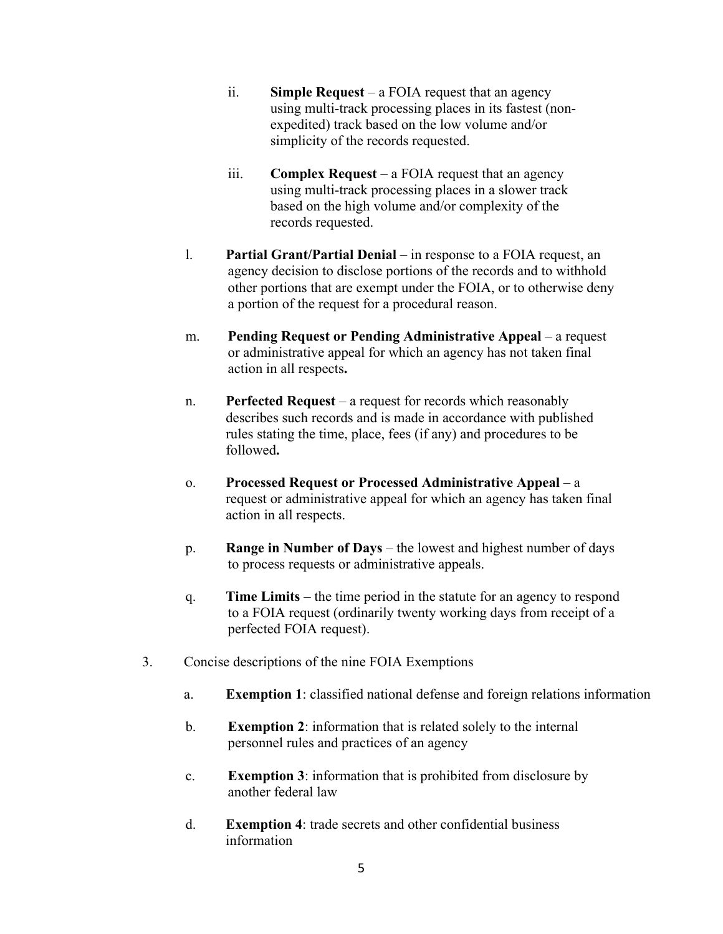- ii. **Simple Request**  a FOIA request that an agency using multi-track processing places in its fastest (nonexpedited) track based on the low volume and/or simplicity of the records requested.
- iii. **Complex Request**  a FOIA request that an agency using multi-track processing places in a slower track based on the high volume and/or complexity of the records requested.
- l. **Partial Grant/Partial Denial**  in response to a FOIA request, an agency decision to disclose portions of the records and to withhold other portions that are exempt under the FOIA, or to otherwise deny a portion of the request for a procedural reason.
- m. **Pending Request or Pending Administrative Appeal** a request or administrative appeal for which an agency has not taken final action in all respects**.**
- n. **Perfected Request** a request for records which reasonably describes such records and is made in accordance with published rules stating the time, place, fees (if any) and procedures to be followed**.**
- o. **Processed Request or Processed Administrative Appeal** a request or administrative appeal for which an agency has taken final action in all respects.
- p. **Range in Number of Days**  the lowest and highest number of days to process requests or administrative appeals.
- q. **Time Limits**  the time period in the statute for an agency to respond to a FOIA request (ordinarily twenty working days from receipt of a perfected FOIA request).
- 3. Concise descriptions of the nine FOIA Exemptions
	- a. **Exemption 1**: classified national defense and foreign relations information
	- b. **Exemption 2**: information that is related solely to the internal personnel rules and practices of an agency
	- c. **Exemption 3**: information that is prohibited from disclosure by another federal law
	- d. **Exemption 4**: trade secrets and other confidential business information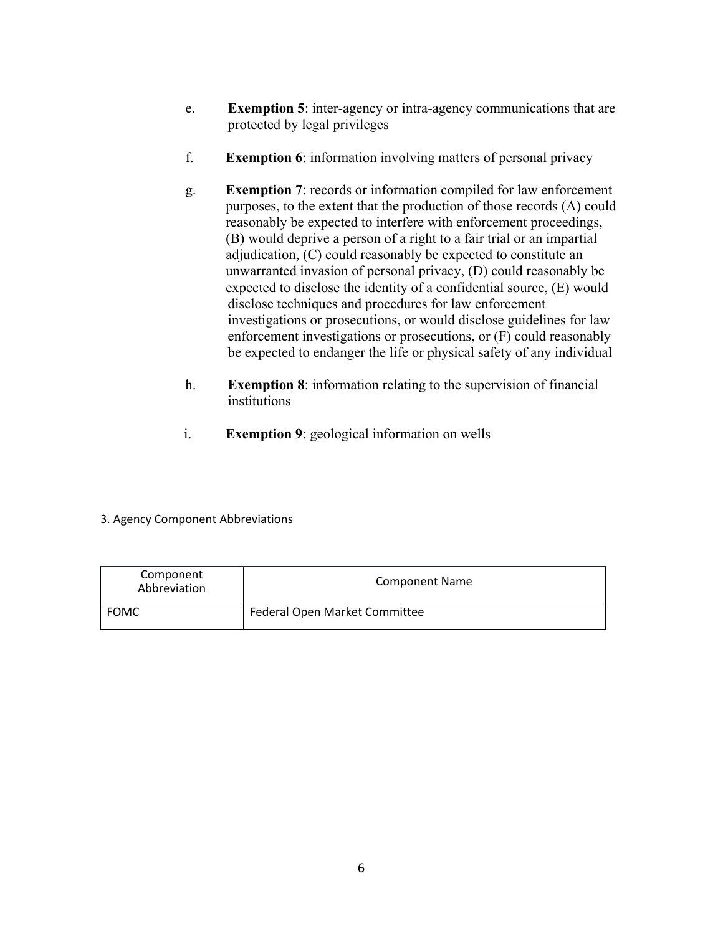- e. **Exemption 5**: inter-agency or intra-agency communications that are protected by legal privileges
- f. **Exemption 6**: information involving matters of personal privacy
- g. **Exemption 7**: records or information compiled for law enforcement purposes, to the extent that the production of those records (A) could reasonably be expected to interfere with enforcement proceedings, (B) would deprive a person of a right to a fair trial or an impartial adjudication, (C) could reasonably be expected to constitute an unwarranted invasion of personal privacy, (D) could reasonably be expected to disclose the identity of a confidential source, (E) would disclose techniques and procedures for law enforcement investigations or prosecutions, or would disclose guidelines for law enforcement investigations or prosecutions, or (F) could reasonably be expected to endanger the life or physical safety of any individual
- h. **Exemption 8**: information relating to the supervision of financial institutions
- i. **Exemption 9**: geological information on wells
- 3. Agency Component Abbreviations

| Component<br>Abbreviation | <b>Component Name</b>                |
|---------------------------|--------------------------------------|
| <b>FOMC</b>               | <b>Federal Open Market Committee</b> |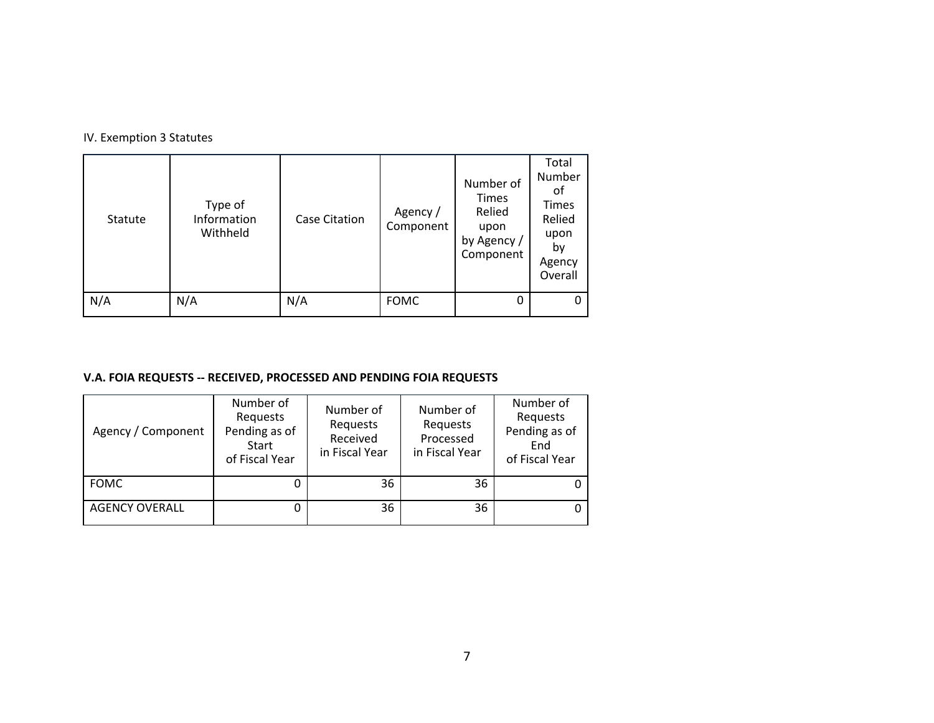|  |  |  |  | IV. Exemption 3 Statutes |
|--|--|--|--|--------------------------|
|--|--|--|--|--------------------------|

| Statute | Type of<br>Information<br>Withheld | <b>Case Citation</b> | Agency /<br>Component | Number of<br><b>Times</b><br>Relied<br>upon<br>by Agency /<br>Component | Total<br>Number<br>оf<br>Times<br>Relied<br>upon<br>by<br>Agency<br>Overall |
|---------|------------------------------------|----------------------|-----------------------|-------------------------------------------------------------------------|-----------------------------------------------------------------------------|
| N/A     | N/A                                | N/A                  | <b>FOMC</b>           |                                                                         | 0                                                                           |

## **V.A. FOIA REQUESTS -- RECEIVED, PROCESSED AND PENDING FOIA REQUESTS**

| Agency / Component    | Number of<br>Requests<br>Pending as of<br><b>Start</b><br>of Fiscal Year | Number of<br>Requests<br>Received<br>in Fiscal Year | Number of<br>Requests<br>Processed<br>in Fiscal Year | Number of<br>Requests<br>Pending as of<br>End<br>of Fiscal Year |
|-----------------------|--------------------------------------------------------------------------|-----------------------------------------------------|------------------------------------------------------|-----------------------------------------------------------------|
| <b>FOMC</b>           |                                                                          | 36                                                  | 36                                                   |                                                                 |
| <b>AGENCY OVERALL</b> | 0                                                                        | 36                                                  | 36                                                   |                                                                 |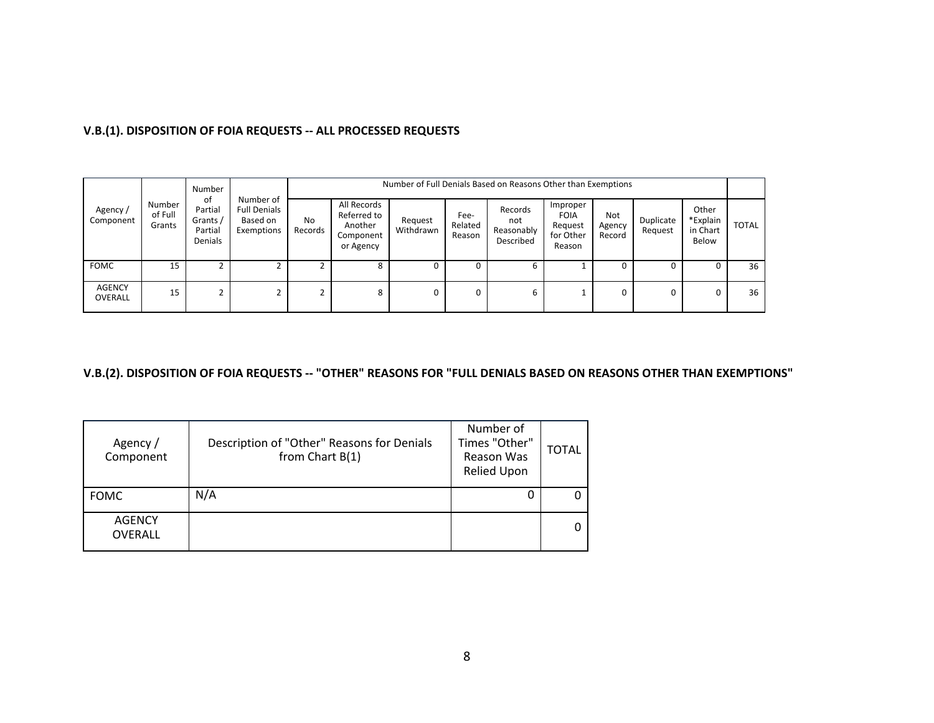| V.B.(1). DISPOSITION OF FOIA REQUESTS -- ALL PROCESSED REQUESTS |  |
|-----------------------------------------------------------------|--|
|-----------------------------------------------------------------|--|

| Agency/<br>Component            | Number<br>of Full<br>Grants | Number<br>0f<br>Partial<br>Grants /<br>Partial<br>Denials | Number of<br><b>Full Denials</b><br>Based on<br>Exemptions |               | Number of Full Denials Based on Reasons Other than Exemptions   |                      |                           |                                           |                                                           |                         |                      |                                        |              |  |  |
|---------------------------------|-----------------------------|-----------------------------------------------------------|------------------------------------------------------------|---------------|-----------------------------------------------------------------|----------------------|---------------------------|-------------------------------------------|-----------------------------------------------------------|-------------------------|----------------------|----------------------------------------|--------------|--|--|
|                                 |                             |                                                           |                                                            | No<br>Records | All Records<br>Referred to<br>Another<br>Component<br>or Agency | Request<br>Withdrawn | Fee-<br>Related<br>Reason | Records<br>not<br>Reasonably<br>Described | Improper<br><b>FOIA</b><br>Request<br>for Other<br>Reason | Not<br>Agency<br>Record | Duplicate<br>Request | Other<br>*Explain<br>in Chart<br>Below | <b>TOTAL</b> |  |  |
| <b>FOMC</b>                     | 15                          |                                                           |                                                            |               | 8                                                               | υ                    |                           | b                                         |                                                           |                         |                      |                                        | 36           |  |  |
| <b>AGENCY</b><br><b>OVERALL</b> | 15                          |                                                           |                                                            | ◠<br>∠        | 8                                                               | 0                    | 0                         | 6                                         |                                                           | 0                       |                      | 0                                      | 36           |  |  |

### **V.B.(2). DISPOSITION OF FOIA REQUESTS -- "OTHER" REASONS FOR "FULL DENIALS BASED ON REASONS OTHER THAN EXEMPTIONS"**

| Agency /<br>Component           | Description of "Other" Reasons for Denials<br>from Chart B(1) | Number of<br>Times "Other"<br>Reason Was<br>Relied Upon | <b>TOTAL</b> |
|---------------------------------|---------------------------------------------------------------|---------------------------------------------------------|--------------|
| <b>FOMC</b>                     | N/A                                                           | Ū                                                       |              |
| <b>AGENCY</b><br><b>OVERALL</b> |                                                               |                                                         | 0            |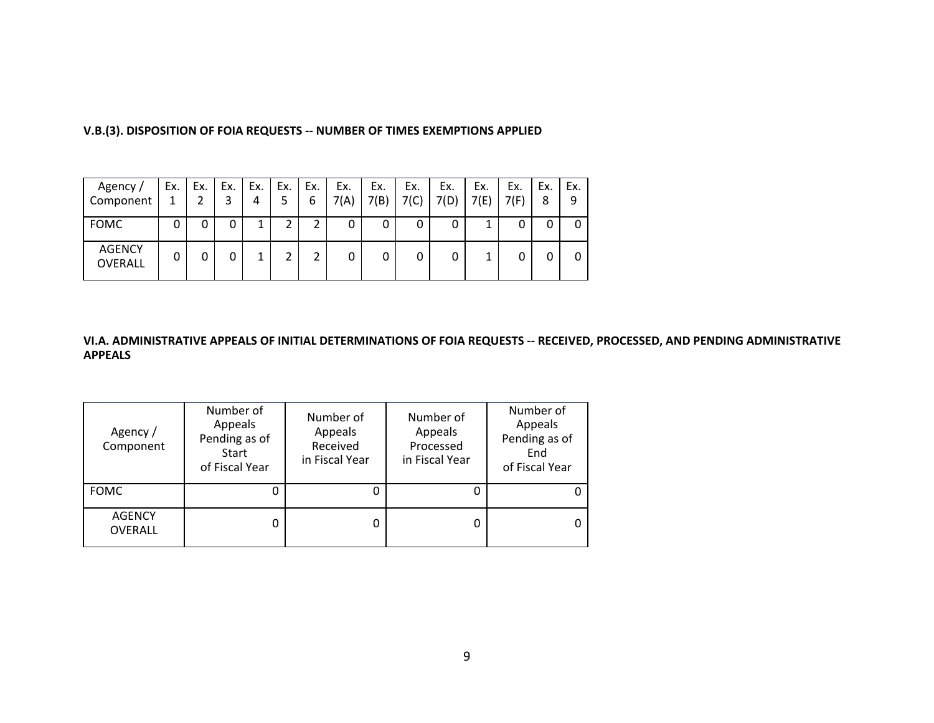| Agency /<br>Component           | Ex. | Ex. | Ex. | Ex.<br>4 | Ex.<br>5 | Ex.<br>6 | Ex.<br>7(A) | Ex.<br>7(B) | Ex.<br>7(C) | Ex.<br>7(D) | Ex.<br>7(E) | Ex.<br>7(F) | Ex.<br>8 | Ex.<br>9 |
|---------------------------------|-----|-----|-----|----------|----------|----------|-------------|-------------|-------------|-------------|-------------|-------------|----------|----------|
| <b>FOMC</b>                     | 0   | 0   | 0   | 1        | ◠        |          | 0           | 0           | 0           |             | 1           |             |          |          |
| <b>AGENCY</b><br><b>OVERALL</b> | 0   | 0   | 0   | ٠        |          |          | 0           |             | 0           |             | 1           |             |          |          |

**V.B.(3). DISPOSITION OF FOIA REQUESTS -- NUMBER OF TIMES EXEMPTIONS APPLIED**

#### **VI.A. ADMINISTRATIVE APPEALS OF INITIAL DETERMINATIONS OF FOIA REQUESTS -- RECEIVED, PROCESSED, AND PENDING ADMINISTRATIVE APPEALS**

| Agency /<br>Component           | Number of<br>Appeals<br>Pending as of<br><b>Start</b><br>of Fiscal Year | Number of<br>Appeals<br>Received<br>in Fiscal Year | Number of<br>Appeals<br>Processed<br>in Fiscal Year | Number of<br>Appeals<br>Pending as of<br>End<br>of Fiscal Year |
|---------------------------------|-------------------------------------------------------------------------|----------------------------------------------------|-----------------------------------------------------|----------------------------------------------------------------|
| <b>FOMC</b>                     |                                                                         | O                                                  |                                                     | 0                                                              |
| <b>AGENCY</b><br><b>OVERALL</b> |                                                                         | O                                                  |                                                     | 0                                                              |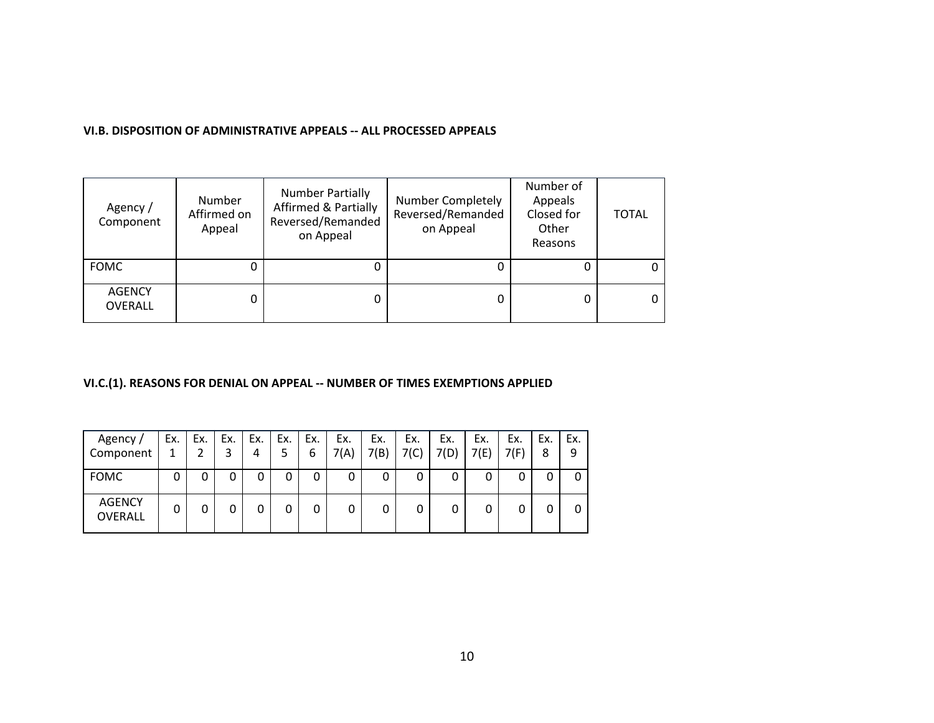| Agency /<br>Component    | Number<br>Affirmed on<br>Appeal | <b>Number Partially</b><br><b>Affirmed &amp; Partially</b><br>Reversed/Remanded<br>on Appeal | <b>Number Completely</b><br>Reversed/Remanded<br>on Appeal | Number of<br>Appeals<br>Closed for<br>Other<br>Reasons | <b>TOTAL</b> |
|--------------------------|---------------------------------|----------------------------------------------------------------------------------------------|------------------------------------------------------------|--------------------------------------------------------|--------------|
| <b>FOMC</b>              |                                 |                                                                                              |                                                            |                                                        | 0            |
| <b>AGENCY</b><br>OVERALL | 0                               | 0                                                                                            | 0                                                          |                                                        | 0            |

#### **VI.B. DISPOSITION OF ADMINISTRATIVE APPEALS -- ALL PROCESSED APPEALS**

### **VI.C.(1). REASONS FOR DENIAL ON APPEAL -- NUMBER OF TIMES EXEMPTIONS APPLIED**

| Agency /<br>Component    | Ex. | Ex. | Ex. | Ex.<br>4 | Ex.<br>5 | Ex.<br>6 | Ex.<br>7(A) | Ex.<br>7(B) | Ex.<br>7(C) | Ex.<br>7(D) | Ex.<br>7(E) | Ex.<br>7(F) | Ex.<br>8 | Ex.<br>9 |
|--------------------------|-----|-----|-----|----------|----------|----------|-------------|-------------|-------------|-------------|-------------|-------------|----------|----------|
| <b>FOMC</b>              | 0   | 0   | 0   | 0        |          |          | 0           | 0           | 0           |             | 0           |             |          |          |
| <b>AGENCY</b><br>OVERALL | 0   | 0   | 0   | 0        |          |          | 0           | 0           | 0           |             | 0           |             |          |          |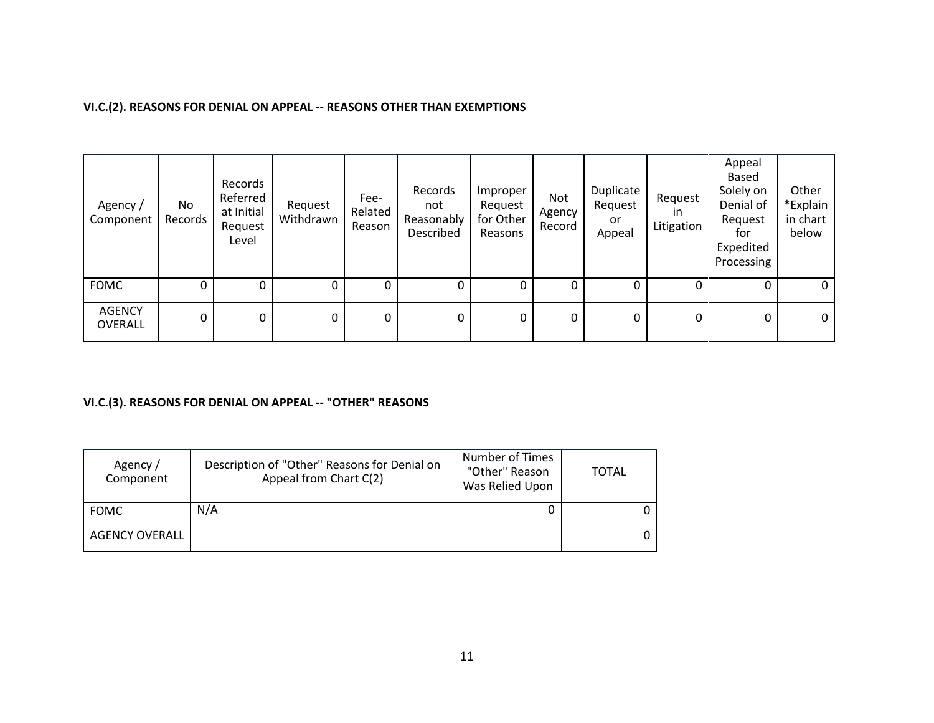### **VI.C.(2). REASONS FOR DENIAL ON APPEAL -- REASONS OTHER THAN EXEMPTIONS**

| Agency /<br>Component           | No<br>Records | Records<br>Referred<br>at Initial<br>Request<br>Level | Request<br>Withdrawn | Fee-<br>Related<br>Reason | Records<br>not<br>Reasonably<br>Described | Improper<br>Request<br>for Other<br>Reasons | Not<br>Agency<br>Record | Duplicate<br>Request<br>or<br>Appeal | Request<br>$\mathsf{I}$<br>Litigation | Appeal<br>Based<br>Solely on<br>Denial of<br>Request<br>for<br>Expedited<br>Processing | Other<br>*Explain<br>in chart<br>below |
|---------------------------------|---------------|-------------------------------------------------------|----------------------|---------------------------|-------------------------------------------|---------------------------------------------|-------------------------|--------------------------------------|---------------------------------------|----------------------------------------------------------------------------------------|----------------------------------------|
| <b>FOMC</b>                     | 0             |                                                       | 0                    | 0                         | 0                                         |                                             |                         | 0                                    |                                       | 0                                                                                      | 0 <sup>1</sup>                         |
| <b>AGENCY</b><br><b>OVERALL</b> | 0             | 0                                                     | 0                    | 0                         | 0                                         | 0                                           | 0                       | 0                                    | 0                                     | 0                                                                                      | 0 <sub>1</sub>                         |

### **VI.C.(3). REASONS FOR DENIAL ON APPEAL -- "OTHER" REASONS**

| Agency /<br>Component | Description of "Other" Reasons for Denial on<br>Appeal from Chart C(2) | Number of Times<br>"Other" Reason<br>Was Relied Upon | <b>TOTAL</b> |
|-----------------------|------------------------------------------------------------------------|------------------------------------------------------|--------------|
| FOMC                  | N/A                                                                    |                                                      |              |
| AGENCY OVERALL        |                                                                        |                                                      |              |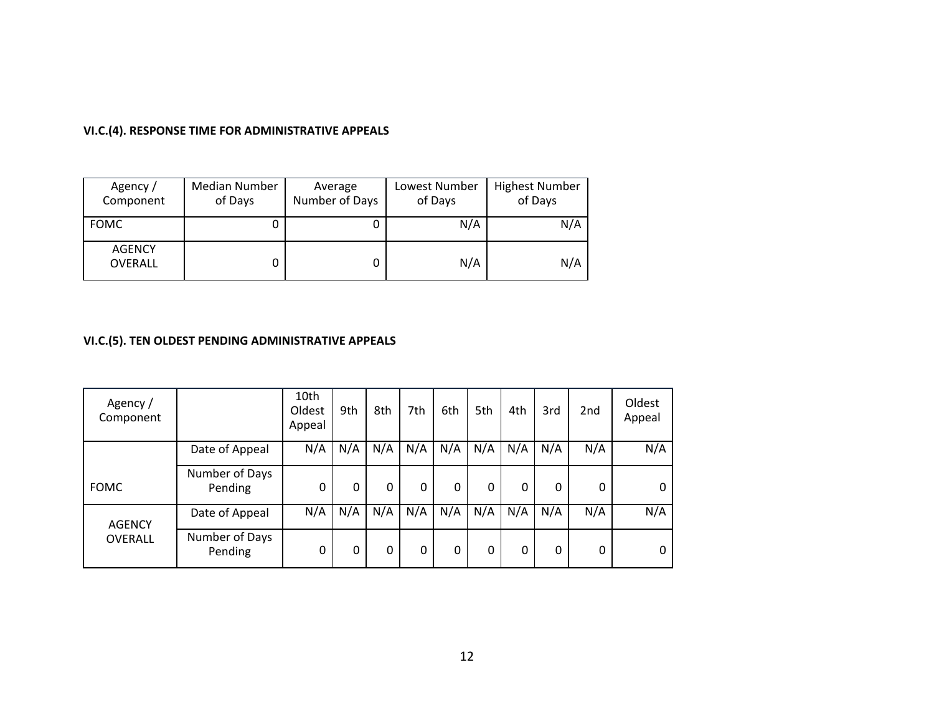## **VI.C.(4). RESPONSE TIME FOR ADMINISTRATIVE APPEALS**

| Agency /<br>Component    | Median Number<br>of Days | Average<br>Number of Days | Lowest Number<br>of Days | <b>Highest Number</b><br>of Days |
|--------------------------|--------------------------|---------------------------|--------------------------|----------------------------------|
| <b>FOMC</b>              | U                        |                           | N/A                      | N/A                              |
| <b>AGENCY</b><br>OVERALL | U                        |                           | N/A                      | N/A                              |

# **VI.C.(5). TEN OLDEST PENDING ADMINISTRATIVE APPEALS**

| Agency /<br>Component |                           | 10th<br>Oldest<br>Appeal | 9th | 8th | 7th | 6th | 5th | 4th | 3rd      | 2 <sub>nd</sub> | Oldest<br>Appeal |
|-----------------------|---------------------------|--------------------------|-----|-----|-----|-----|-----|-----|----------|-----------------|------------------|
|                       | Date of Appeal            | N/A                      | N/A | N/A | N/A | N/A | N/A | N/A | N/A      | N/A             | N/A              |
| <b>FOMC</b>           | Number of Days<br>Pending | 0                        | 0   | 0   | 0   | 0   | 0   | 0   | 0        | 0               | 0                |
| <b>AGENCY</b>         | Date of Appeal            | N/A                      | N/A | N/A | N/A | N/A | N/A | N/A | N/A      | N/A             | N/A              |
| OVERALL               | Number of Days<br>Pending | 0                        | 0   | 0   | 0   | 0   | 0   | 0   | $\Omega$ | 0               | 0                |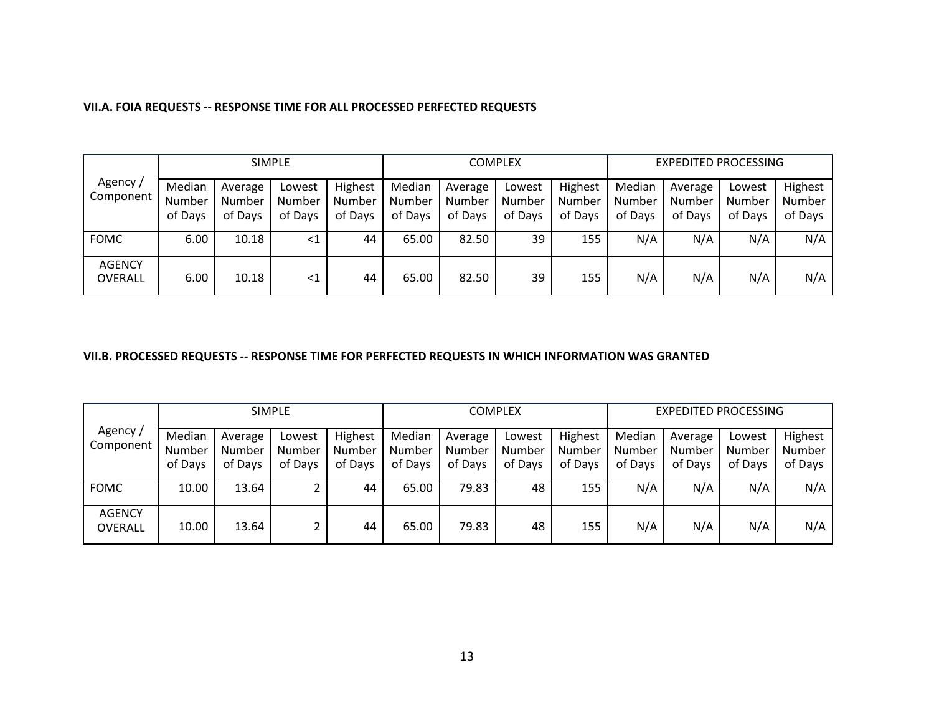|                          |                             | <b>SIMPLE</b>                |                             |                              |                             |                              | <b>COMPLEX</b>              |                              | EXPEDITED PROCESSING        |                              |                             |                              |
|--------------------------|-----------------------------|------------------------------|-----------------------------|------------------------------|-----------------------------|------------------------------|-----------------------------|------------------------------|-----------------------------|------------------------------|-----------------------------|------------------------------|
| Agency /<br>Component    | Median<br>Number<br>of Days | Average<br>Number<br>of Days | Lowest<br>Number<br>of Days | Highest<br>Number<br>of Days | Median<br>Number<br>of Days | Average<br>Number<br>of Days | Lowest<br>Number<br>of Days | Highest<br>Number<br>of Days | Median<br>Number<br>of Days | Average<br>Number<br>of Days | Lowest<br>Number<br>of Days | Highest<br>Number<br>of Days |
| <b>FOMC</b>              | 6.00                        | 10.18                        | $\leq$ 1                    | 44                           | 65.00                       | 82.50                        | 39                          | 155                          | N/A                         | N/A                          | N/A                         | N/A                          |
| <b>AGENCY</b><br>OVERALL | 6.00                        | 10.18                        | $<$ 1                       | 44                           | 65.00                       | 82.50                        | 39                          | 155                          | N/A                         | N/A                          | N/A                         | N/A                          |

#### **VII.A. FOIA REQUESTS -- RESPONSE TIME FOR ALL PROCESSED PERFECTED REQUESTS**

#### **VII.B. PROCESSED REQUESTS -- RESPONSE TIME FOR PERFECTED REQUESTS IN WHICH INFORMATION WAS GRANTED**

|                          |                             |                              | <b>SIMPLE</b>               |                              | COMPLEX                     |                              |                             |                              | <b>EXPEDITED PROCESSING</b> |                              |                             |                                     |
|--------------------------|-----------------------------|------------------------------|-----------------------------|------------------------------|-----------------------------|------------------------------|-----------------------------|------------------------------|-----------------------------|------------------------------|-----------------------------|-------------------------------------|
| Agency /<br>Component    | Median<br>Number<br>of Days | Average<br>Number<br>of Days | Lowest<br>Number<br>of Days | Highest<br>Number<br>of Days | Median<br>Number<br>of Days | Average<br>Number<br>of Days | Lowest<br>Number<br>of Days | Highest<br>Number<br>of Days | Median<br>Number<br>of Days | Average<br>Number<br>of Days | Lowest<br>Number<br>of Days | Highest<br><b>Number</b><br>of Days |
| <b>FOMC</b>              | 10.00                       | 13.64                        |                             | 44                           | 65.00                       | 79.83                        | 48                          | 155                          | N/A                         | N/A                          | N/A                         | N/A                                 |
| <b>AGENCY</b><br>OVERALL | 10.00                       | 13.64                        |                             | 44                           | 65.00                       | 79.83                        | 48                          | 155                          | N/A                         | N/A                          | N/A                         | N/A                                 |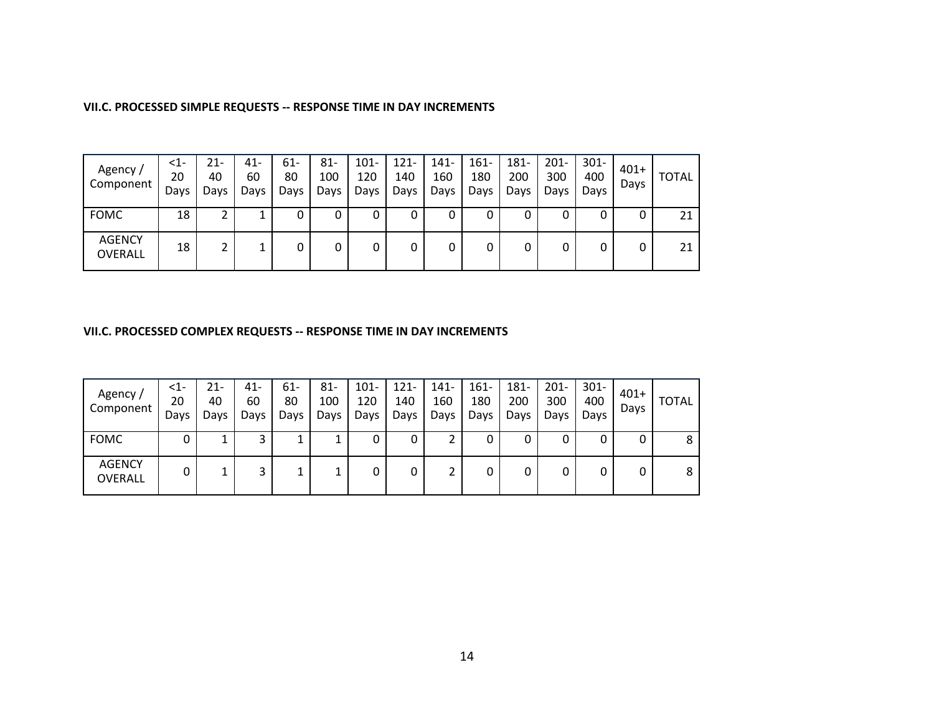#### **VII.C. PROCESSED SIMPLE REQUESTS -- RESPONSE TIME IN DAY INCREMENTS**

| Agency /<br>Component           | <1-<br>20<br>Days | 21-<br>40<br>Days | 41-<br>60<br>Days | 61-<br>80<br>Days | $81 -$<br>100<br>Days | $101 -$<br>120<br>Days | $121 -$<br>140<br>Days | 141-<br>160<br>Days | $161 -$<br>180<br>Days | 181-<br>200<br>Days | $201 -$<br>300<br>Days | $301 -$<br>400<br>Days | $401+$<br>Days | <b>TOTAL</b> |
|---------------------------------|-------------------|-------------------|-------------------|-------------------|-----------------------|------------------------|------------------------|---------------------|------------------------|---------------------|------------------------|------------------------|----------------|--------------|
| <b>FOMC</b>                     | 18                |                   |                   | 0                 | υ                     |                        | 0                      |                     | υ                      | 0                   |                        |                        | 0              | 21           |
| <b>AGENCY</b><br><b>OVERALL</b> | 18                | ◠                 | 1.<br>┻           | 0                 |                       |                        | 0                      |                     | 0                      | 0                   |                        |                        | 0              | 21           |

#### **VII.C. PROCESSED COMPLEX REQUESTS -- RESPONSE TIME IN DAY INCREMENTS**

| Agency /<br>Component    | $<$ 1-<br>20<br>Days | 21-<br>40<br>Days | $41 -$<br>60<br>Days | 61-<br>80<br>Days | $81 -$<br>100<br>Days | $101 -$<br>120<br>Days | $121 -$<br>140<br>Days | 141-<br>160<br>Days | $161 -$<br>180<br>Days | 181-<br>200<br>Days | $201 -$<br>300<br>Days | $301 -$<br>400<br>Davs | $401+$<br>Days | <b>TOTAL</b> |
|--------------------------|----------------------|-------------------|----------------------|-------------------|-----------------------|------------------------|------------------------|---------------------|------------------------|---------------------|------------------------|------------------------|----------------|--------------|
| <b>FOMC</b>              | 0                    |                   | 3                    | ᅩ                 |                       | 0                      | 0                      |                     | 0                      | 0                   | 0                      | 0                      | 0              | 8            |
| <b>AGENCY</b><br>OVERALL | 0                    |                   | 3                    | ᅩ                 |                       | 0                      | 0                      |                     | 0                      | 0                   | 0                      | 0                      | 0              | 8            |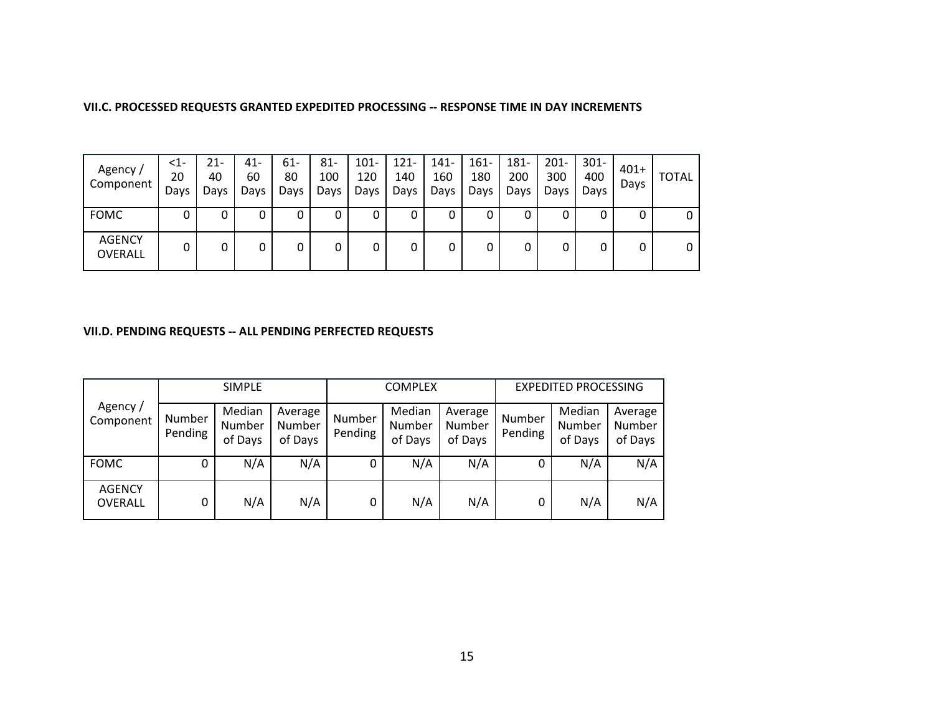#### **VII.C. PROCESSED REQUESTS GRANTED EXPEDITED PROCESSING -- RESPONSE TIME IN DAY INCREMENTS**

| Agency /<br>Component    | <1-<br>20<br>Days | 21-<br>40<br>Days | $41 -$<br>60<br>Days | 61-<br>80<br>Days | $81 -$<br>100<br>Days | $101 -$<br>120<br>Days | $121 -$<br>140<br>Days | $141 -$<br>160<br>Days | $161 -$<br>180<br>Days | 181-<br>200<br>Days | $201 -$<br>300<br>Days | $301 -$<br>400<br>Davs | $401+$<br>Days | <b>TOTAL</b> |
|--------------------------|-------------------|-------------------|----------------------|-------------------|-----------------------|------------------------|------------------------|------------------------|------------------------|---------------------|------------------------|------------------------|----------------|--------------|
| <b>FOMC</b>              |                   |                   | 0                    | 0                 |                       |                        | 0                      |                        | υ                      | 0                   | 0                      |                        |                | 0            |
| <b>AGENCY</b><br>OVERALL | 0                 |                   | 0                    | 0                 |                       | 0                      | 0                      |                        | 0                      | 0                   | 0                      |                        | 0              | 0            |

#### **VII.D. PENDING REQUESTS -- ALL PENDING PERFECTED REQUESTS**

|                          | <b>SIMPLE</b>     |                             |                              |                   | <b>COMPLEX</b>              |                              | <b>EXPEDITED PROCESSING</b> |                             |                              |  |
|--------------------------|-------------------|-----------------------------|------------------------------|-------------------|-----------------------------|------------------------------|-----------------------------|-----------------------------|------------------------------|--|
| Agency /<br>Component    | Number<br>Pending | Median<br>Number<br>of Days | Average<br>Number<br>of Days | Number<br>Pending | Median<br>Number<br>of Days | Average<br>Number<br>of Days | Number<br>Pending           | Median<br>Number<br>of Days | Average<br>Number<br>of Days |  |
| <b>FOMC</b>              | 0                 | N/A                         | N/A                          | 0                 | N/A                         | N/A                          | 0                           | N/A                         | N/A                          |  |
| <b>AGENCY</b><br>OVERALL | 0                 | N/A                         | N/A                          | 0                 | N/A                         | N/A                          | 0                           | N/A                         | N/A                          |  |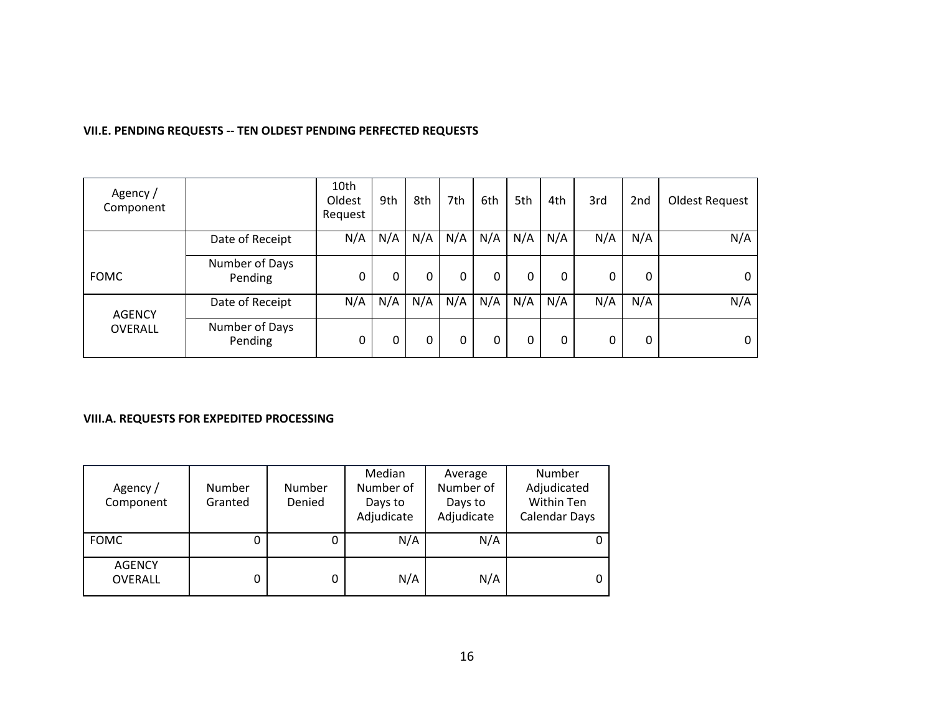#### **VII.E. PENDING REQUESTS -- TEN OLDEST PENDING PERFECTED REQUESTS**

| Agency /<br>Component |                           | 10th<br>Oldest<br>Request | 9th | 8th | 7th | 6th | 5th | 4th | 3rd | 2nd | Oldest Request |
|-----------------------|---------------------------|---------------------------|-----|-----|-----|-----|-----|-----|-----|-----|----------------|
|                       | Date of Receipt           | N/A                       | N/A | N/A | N/A | N/A | N/A | N/A | N/A | N/A | N/A            |
| <b>FOMC</b>           | Number of Days<br>Pending | 0                         | 0   | 0   | 0   | 0   | 0   | 0   | 0   | 0   |                |
| <b>AGENCY</b>         | Date of Receipt           | N/A                       | N/A | N/A | N/A | N/A | N/A | N/A | N/A | N/A | N/A            |
| OVERALL               | Number of Days<br>Pending | 0                         | 0   | 0   | 0   | 0   | 0   | 0   | 0   | 0   |                |

#### **VIII.A. REQUESTS FOR EXPEDITED PROCESSING**

| Agency /<br>Component           | Number<br>Granted | Number<br>Denied | Median<br>Number of<br>Days to<br>Adjudicate | Average<br>Number of<br>Days to<br>Adjudicate | Number<br>Adjudicated<br>Within Ten<br><b>Calendar Days</b> |
|---------------------------------|-------------------|------------------|----------------------------------------------|-----------------------------------------------|-------------------------------------------------------------|
| <b>FOMC</b>                     |                   | 0                | N/A                                          | N/A                                           |                                                             |
| <b>AGENCY</b><br><b>OVERALL</b> |                   | 0                | N/A                                          | N/A                                           |                                                             |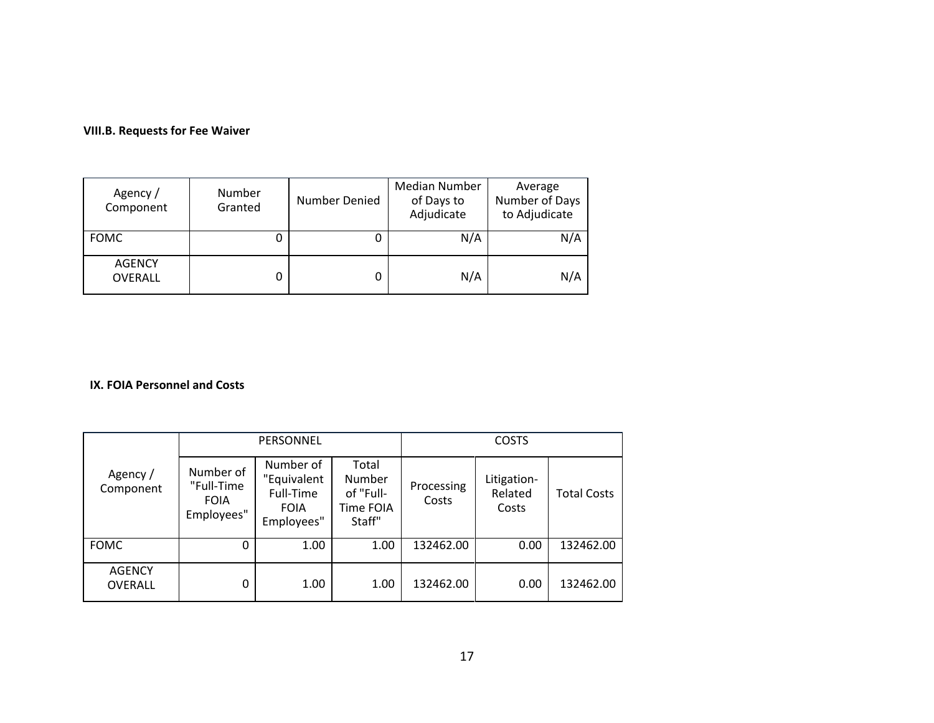### **VIII.B. Requests for Fee Waiver**

| Agency /<br>Component           | Number<br>Granted | Number Denied | Median Number<br>of Days to<br>Adjudicate | Average<br>Number of Days<br>to Adjudicate |
|---------------------------------|-------------------|---------------|-------------------------------------------|--------------------------------------------|
| <b>FOMC</b>                     |                   |               | N/A                                       | N/A                                        |
| <b>AGENCY</b><br><b>OVERALL</b> |                   |               | N/A                                       | N/A                                        |

#### **IX. FOIA Personnel and Costs**

|                                 |                                                      | PERSONNEL                                                          |                                                     | <b>COSTS</b>        |                                 |                    |  |
|---------------------------------|------------------------------------------------------|--------------------------------------------------------------------|-----------------------------------------------------|---------------------|---------------------------------|--------------------|--|
| Agency /<br>Component           | Number of<br>"Full-Time<br><b>FOIA</b><br>Employees" | Number of<br>"Equivalent<br>Full-Time<br><b>FOIA</b><br>Employees" | Total<br>Number<br>of "Full-<br>Time FOIA<br>Staff" | Processing<br>Costs | Litigation-<br>Related<br>Costs | <b>Total Costs</b> |  |
| <b>FOMC</b>                     | 0                                                    | 1.00                                                               | 1.00                                                | 132462.00           | 0.00                            | 132462.00          |  |
| <b>AGENCY</b><br><b>OVERALL</b> | 0                                                    | 1.00                                                               | 1.00                                                | 132462.00           | 0.00                            | 132462.00          |  |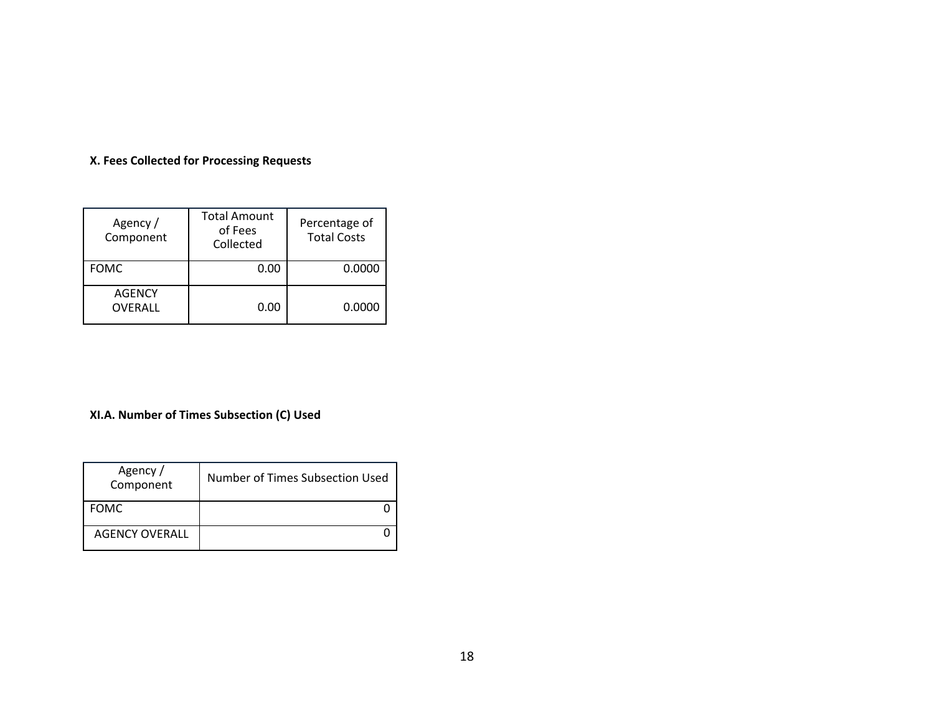### **X. Fees Collected for Processing Requests**

| Agency /<br>Component    | <b>Total Amount</b><br>of Fees<br>Collected | Percentage of<br><b>Total Costs</b> |
|--------------------------|---------------------------------------------|-------------------------------------|
| <b>FOMC</b>              | 0.00                                        | 0.0000                              |
| <b>AGENCY</b><br>OVERALL | 0.00                                        | 0.0000                              |

## **XI.A. Number of Times Subsection (C) Used**

| Agency /<br>Component | Number of Times Subsection Used |
|-----------------------|---------------------------------|
| <b>FOMC</b>           |                                 |
| <b>AGENCY OVERALL</b> |                                 |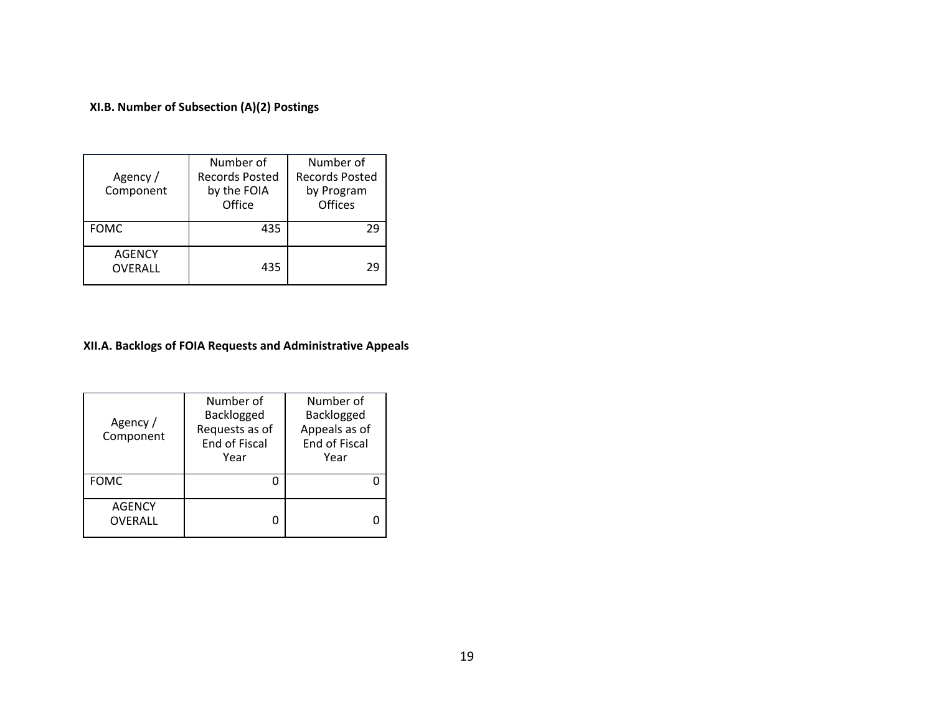## **XI.B. Number of Subsection (A)(2) Postings**

| Agency /<br>Component           | Number of<br><b>Records Posted</b><br>by the FOIA<br>Office | Number of<br><b>Records Posted</b><br>by Program<br>Offices |  |
|---------------------------------|-------------------------------------------------------------|-------------------------------------------------------------|--|
| <b>FOMC</b>                     | 435                                                         | 29                                                          |  |
| <b>AGENCY</b><br><b>OVERALL</b> | 435                                                         | σq                                                          |  |

## **XII.A. Backlogs of FOIA Requests and Administrative Appeals**

| Agency /<br>Component    | Number of<br>Backlogged<br>Requests as of<br>End of Fiscal<br>Year | Number of<br>Backlogged<br>Appeals as of<br>End of Fiscal<br>Year |
|--------------------------|--------------------------------------------------------------------|-------------------------------------------------------------------|
| <b>FOMC</b>              |                                                                    |                                                                   |
| <b>AGENCY</b><br>OVERALL |                                                                    |                                                                   |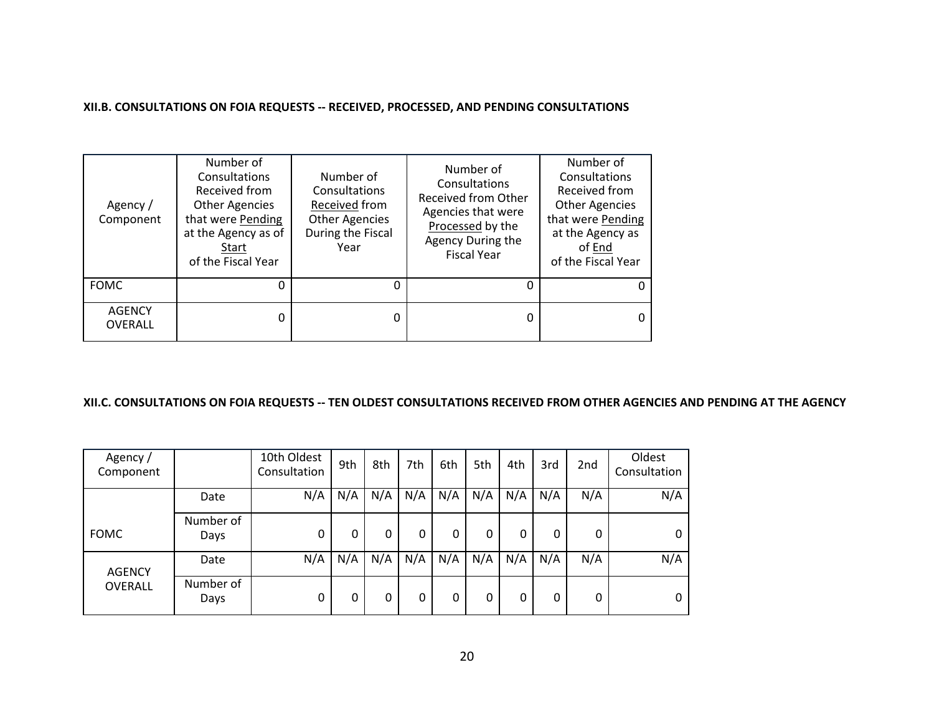#### **XII.B. CONSULTATIONS ON FOIA REQUESTS -- RECEIVED, PROCESSED, AND PENDING CONSULTATIONS**

| Agency /<br>Component           | Number of<br>Consultations<br>Received from<br><b>Other Agencies</b><br>that were Pending<br>at the Agency as of<br>Start<br>of the Fiscal Year | Number of<br>Consultations<br>Received from<br><b>Other Agencies</b><br>During the Fiscal<br>Year | Number of<br>Consultations<br><b>Received from Other</b><br>Agencies that were<br>Processed by the<br>Agency During the<br><b>Fiscal Year</b> | Number of<br>Consultations<br>Received from<br><b>Other Agencies</b><br>that were Pending<br>at the Agency as<br>of End<br>of the Fiscal Year |
|---------------------------------|-------------------------------------------------------------------------------------------------------------------------------------------------|---------------------------------------------------------------------------------------------------|-----------------------------------------------------------------------------------------------------------------------------------------------|-----------------------------------------------------------------------------------------------------------------------------------------------|
| <b>FOMC</b>                     | 0                                                                                                                                               |                                                                                                   |                                                                                                                                               | 0                                                                                                                                             |
| <b>AGENCY</b><br><b>OVERALL</b> | 0                                                                                                                                               |                                                                                                   |                                                                                                                                               | 0                                                                                                                                             |

### **XII.C. CONSULTATIONS ON FOIA REQUESTS -- TEN OLDEST CONSULTATIONS RECEIVED FROM OTHER AGENCIES AND PENDING AT THE AGENCY**

| Agency /<br>Component |                   | 10th Oldest<br>Consultation | 9th | 8th | 7th | 6th | 5th | 4th | 3rd | 2nd | Oldest<br>Consultation |
|-----------------------|-------------------|-----------------------------|-----|-----|-----|-----|-----|-----|-----|-----|------------------------|
|                       | Date              | N/A                         | N/A | N/A | N/A | N/A | N/A | N/A | N/A | N/A | N/A                    |
| <b>FOMC</b>           | Number of<br>Days | 0                           | 0   | 0   | 0   | 0   | 0   | 0   | 0   | 0   | 0                      |
| <b>AGENCY</b>         | Date              | N/A                         | N/A | N/A | N/A | N/A | N/A | N/A | N/A | N/A | N/A                    |
| <b>OVERALL</b>        | Number of<br>Days | 0                           | 0   | 0   | 0   | 0   | 0   | 0   | 0   | 0   | 0                      |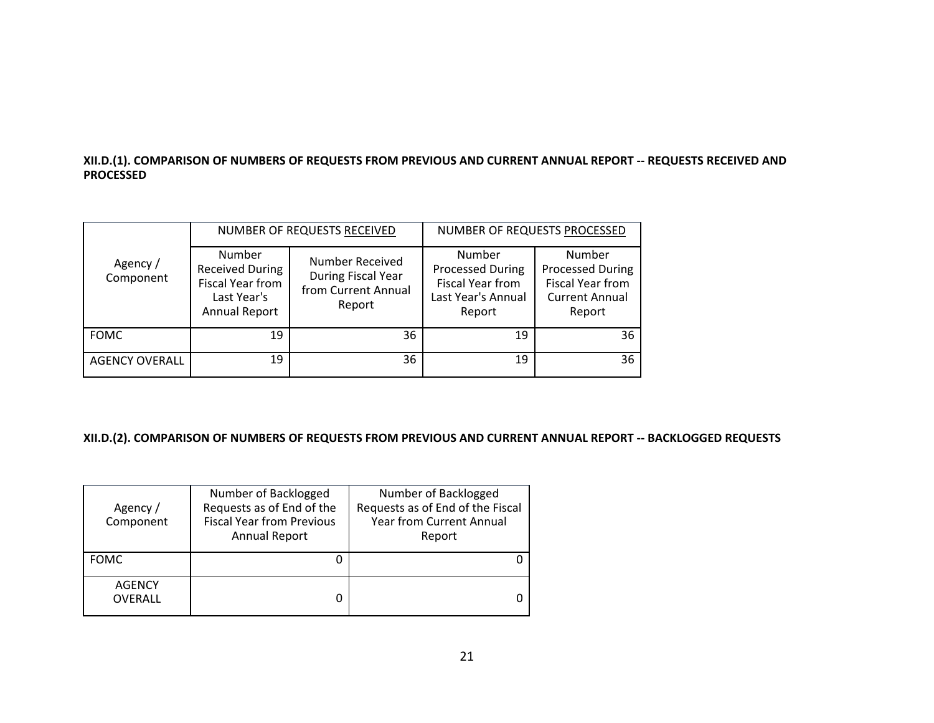#### **XII.D.(1). COMPARISON OF NUMBERS OF REQUESTS FROM PREVIOUS AND CURRENT ANNUAL REPORT -- REQUESTS RECEIVED AND PROCESSED**

|                       |                                                                                                    | NUMBER OF REQUESTS RECEIVED                                            | NUMBER OF REQUESTS PROCESSED                                                          |                                                                                                 |  |
|-----------------------|----------------------------------------------------------------------------------------------------|------------------------------------------------------------------------|---------------------------------------------------------------------------------------|-------------------------------------------------------------------------------------------------|--|
| Agency /<br>Component | Number<br><b>Received During</b><br><b>Fiscal Year from</b><br>Last Year's<br><b>Annual Report</b> | Number Received<br>During Fiscal Year<br>from Current Annual<br>Report | Number<br><b>Processed During</b><br>Fiscal Year from<br>Last Year's Annual<br>Report | Number<br><b>Processed During</b><br><b>Fiscal Year from</b><br><b>Current Annual</b><br>Report |  |
| <b>FOMC</b>           | 19                                                                                                 | 36                                                                     | 19                                                                                    | 36                                                                                              |  |
| <b>AGENCY OVERALL</b> | 19                                                                                                 | 36                                                                     | 19                                                                                    | 36                                                                                              |  |

#### **XII.D.(2). COMPARISON OF NUMBERS OF REQUESTS FROM PREVIOUS AND CURRENT ANNUAL REPORT -- BACKLOGGED REQUESTS**

| Agency /<br>Component           | Number of Backlogged<br>Requests as of End of the<br><b>Fiscal Year from Previous</b><br><b>Annual Report</b> | Number of Backlogged<br>Requests as of End of the Fiscal<br><b>Year from Current Annual</b><br>Report |
|---------------------------------|---------------------------------------------------------------------------------------------------------------|-------------------------------------------------------------------------------------------------------|
| <b>FOMC</b>                     |                                                                                                               |                                                                                                       |
| <b>AGENCY</b><br><b>OVERALL</b> |                                                                                                               |                                                                                                       |